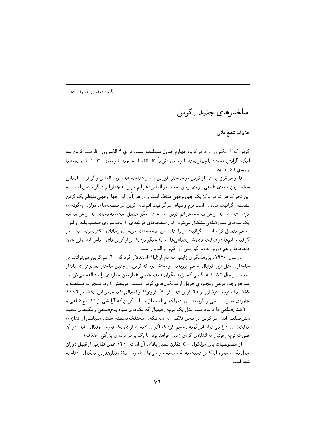ساختارهای جدید \_ کربن

عزيزاله شفيعخاني

کربن که ٦ الکترون دارد در گروهِ چهارم جدول مندلیف است. برايِ ۴ الکترون ِ ظرفيت کربن سه امکان آرایش هست: یا چهار پیوند با زاویهی تقریباً °109.5، یا سه پیوند با زاویهی ِ °120، یا دو پیوند با زاويەي 180 د,جە.

تا اواخر قرن بیستم، از کربن دو ساختار بلورین پایدار شناخته شده بود: الماس و گرافیت. الماس سختترین مادهی طبیعی <sub>-</sub> روی زمین است. در الماس، هر اتم کربن به چهار اتم دیگر متصل است، به این نحو که هر اتم در مرکز یک چهاروجهی منتظم است و در هر رأس این چهاروجهی منتظم یک کربن نشسته. گرافیت مادهای است نرم و سیاه. در گرافیت اتمهایِ کربن در صفحههای موازی بهگونهای مرتب شدهاند که در هر صفحه، هر اتم کربن به سه اتم دیگر متصل است، به نحوی که در هر صفحه یک شبکه ی شش ضلعی تشکیل میشود. این صفحههای دو بُعدی را، یک نیروی ضعیفِ واندروالس، به هم متصل کرده است. گرافیت در راستای این صفحههای دوبعدی رسانای الکتریسیته است. در گرافیت، اتمها در صفحههای شش ضلعیها به یکدیگر نزدیکتر از کربنهای الماس اند، ولی چون صفحهها از هم دورتر اند، تراكم اتمي آن كمتر از الماس است.

در سال ۱۹۷۰، پژوهشگری ژاپنی به نام اوزاوا<sup>1)</sup> استدلال کرد که ٦۰ اتم کربن میتوانند در ساختاری مثل توپ فوتبال به هم ببیوندند، و معتقد بود که کربن در چنین ساختار مصنوعی ای پایدار است. در سال ۱۹۸۵ هنگامی که پژوهشگران طبفِ جذببی غبار بین سیارهای را مطالعه میکردند، متوجهِ وجود نوعی زنجیرهی طویل از مولکولهای کربن شدند. پژوهش آنها منجر به مشاهده و کشف یک توپ <sub>-</sub> توخالی از ٦٥ کربن شد. کِرل<sup>2)</sup>، کروتو<sup>3</sup>)، و اسمالی<sup>4)</sup> به خاطر این کشف در ١٩٩٦ جایزهی نوبل ِ شیمی را گرفتند. 500 مولکولی است از ٦٥ اتم کربن که آرایشی از ١٢ پنج ضلعی و ۲۰ شش ضلعی دارد ــ درست مثل یک توپ <sub>-</sub> فوتبال که تکههای سیاه پنج ضلعی و تکههای سفید ششضلعی اند. هر کربن در محل تلاقی ِ ی سه تکهی مختلف نشسته است. مقیاسی از اندازهی مولکول 60 را می توان اینگونه تجسم کرد که اگر C<sub>60</sub> به اندازهی یک توپ <sub>-</sub> فوتبال باشد، در آن صورت توپ ِ فوتبال به اندازهي کرهي زمين خواهد بود (با يک يا دو مرتبهي بزرگي اختلاف).

از خصوصیات بارز مولکول C60، تقارن بسیار بالای آن است: ۱۲۰ عمل تقارنی از قبیل دوران حول یک محور و انعکاس نسبت به یک صفحه را میتوان نامبرد . ،G متقارنترین مولکول ِ شناخته شده است.